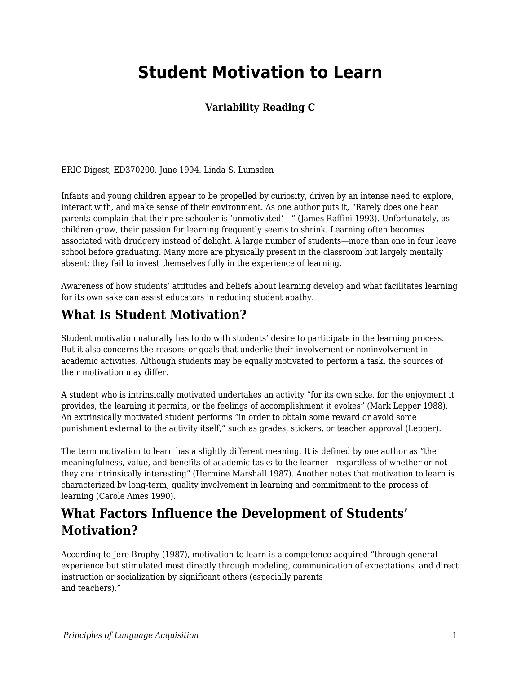# **Student Motivation to Learn**

#### **Variability Reading C**

ERIC Digest, ED370200. June 1994. Linda S. Lumsden

Infants and young children appear to be propelled by curiosity, driven by an intense need to explore, interact with, and make sense of their environment. As one author puts it, "Rarely does one hear parents complain that their pre-schooler is 'unmotivated'---" (James Raffini 1993). Unfortunately, as children grow, their passion for learning frequently seems to shrink. Learning often becomes associated with drudgery instead of delight. A large number of students—more than one in four leave school before graduating. Many more are physically present in the classroom but largely mentally absent; they fail to invest themselves fully in the experience of learning.

Awareness of how students' attitudes and beliefs about learning develop and what facilitates learning for its own sake can assist educators in reducing student apathy.

#### **What Is Student Motivation?**

Student motivation naturally has to do with students' desire to participate in the learning process. But it also concerns the reasons or goals that underlie their involvement or noninvolvement in academic activities. Although students may be equally motivated to perform a task, the sources of their motivation may differ.

A student who is intrinsically motivated undertakes an activity "for its own sake, for the enjoyment it provides, the learning it permits, or the feelings of accomplishment it evokes" (Mark Lepper 1988). An extrinsically motivated student performs "in order to obtain some reward or avoid some punishment external to the activity itself," such as grades, stickers, or teacher approval (Lepper).

The term motivation to learn has a slightly different meaning. It is defined by one author as "the meaningfulness, value, and benefits of academic tasks to the learner—regardless of whether or not they are intrinsically interesting" (Hermine Marshall 1987). Another notes that motivation to learn is characterized by long-term, quality involvement in learning and commitment to the process of learning (Carole Ames 1990).

### **What Factors Influence the Development of Students' Motivation?**

According to Jere Brophy (1987), motivation to learn is a competence acquired "through general experience but stimulated most directly through modeling, communication of expectations, and direct instruction or socialization by significant others (especially parents and teachers)."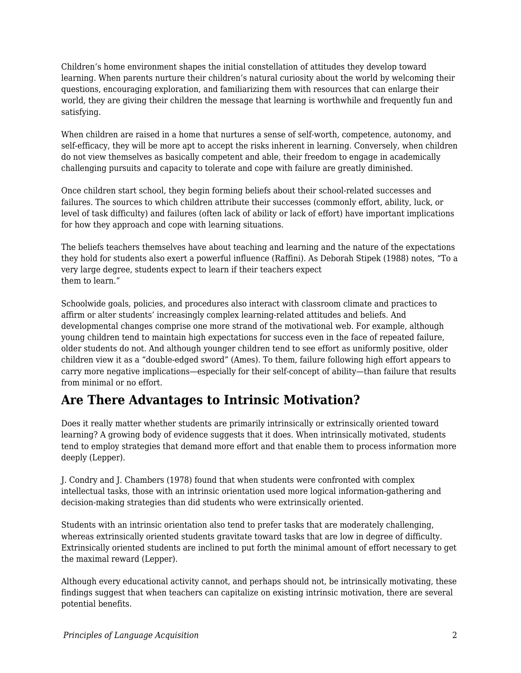Children's home environment shapes the initial constellation of attitudes they develop toward learning. When parents nurture their children's natural curiosity about the world by welcoming their questions, encouraging exploration, and familiarizing them with resources that can enlarge their world, they are giving their children the message that learning is worthwhile and frequently fun and satisfying.

When children are raised in a home that nurtures a sense of self-worth, competence, autonomy, and self-efficacy, they will be more apt to accept the risks inherent in learning. Conversely, when children do not view themselves as basically competent and able, their freedom to engage in academically challenging pursuits and capacity to tolerate and cope with failure are greatly diminished.

Once children start school, they begin forming beliefs about their school-related successes and failures. The sources to which children attribute their successes (commonly effort, ability, luck, or level of task difficulty) and failures (often lack of ability or lack of effort) have important implications for how they approach and cope with learning situations.

The beliefs teachers themselves have about teaching and learning and the nature of the expectations they hold for students also exert a powerful influence (Raffini). As Deborah Stipek (1988) notes, "To a very large degree, students expect to learn if their teachers expect them to learn."

Schoolwide goals, policies, and procedures also interact with classroom climate and practices to affirm or alter students' increasingly complex learning-related attitudes and beliefs. And developmental changes comprise one more strand of the motivational web. For example, although young children tend to maintain high expectations for success even in the face of repeated failure, older students do not. And although younger children tend to see effort as uniformly positive, older children view it as a "double-edged sword" (Ames). To them, failure following high effort appears to carry more negative implications—especially for their self-concept of ability—than failure that results from minimal or no effort.

### **Are There Advantages to Intrinsic Motivation?**

Does it really matter whether students are primarily intrinsically or extrinsically oriented toward learning? A growing body of evidence suggests that it does. When intrinsically motivated, students tend to employ strategies that demand more effort and that enable them to process information more deeply (Lepper).

J. Condry and J. Chambers (1978) found that when students were confronted with complex intellectual tasks, those with an intrinsic orientation used more logical information-gathering and decision-making strategies than did students who were extrinsically oriented.

Students with an intrinsic orientation also tend to prefer tasks that are moderately challenging, whereas extrinsically oriented students gravitate toward tasks that are low in degree of difficulty. Extrinsically oriented students are inclined to put forth the minimal amount of effort necessary to get the maximal reward (Lepper).

Although every educational activity cannot, and perhaps should not, be intrinsically motivating, these findings suggest that when teachers can capitalize on existing intrinsic motivation, there are several potential benefits.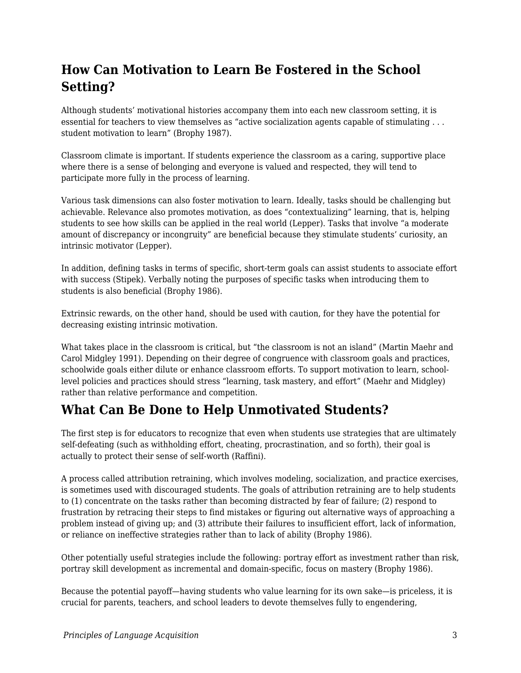## **How Can Motivation to Learn Be Fostered in the School Setting?**

Although students' motivational histories accompany them into each new classroom setting, it is essential for teachers to view themselves as "active socialization agents capable of stimulating . . . student motivation to learn" (Brophy 1987).

Classroom climate is important. If students experience the classroom as a caring, supportive place where there is a sense of belonging and everyone is valued and respected, they will tend to participate more fully in the process of learning.

Various task dimensions can also foster motivation to learn. Ideally, tasks should be challenging but achievable. Relevance also promotes motivation, as does "contextualizing" learning, that is, helping students to see how skills can be applied in the real world (Lepper). Tasks that involve "a moderate amount of discrepancy or incongruity" are beneficial because they stimulate students' curiosity, an intrinsic motivator (Lepper).

In addition, defining tasks in terms of specific, short-term goals can assist students to associate effort with success (Stipek). Verbally noting the purposes of specific tasks when introducing them to students is also beneficial (Brophy 1986).

Extrinsic rewards, on the other hand, should be used with caution, for they have the potential for decreasing existing intrinsic motivation.

What takes place in the classroom is critical, but "the classroom is not an island" (Martin Maehr and Carol Midgley 1991). Depending on their degree of congruence with classroom goals and practices, schoolwide goals either dilute or enhance classroom efforts. To support motivation to learn, schoollevel policies and practices should stress "learning, task mastery, and effort" (Maehr and Midgley) rather than relative performance and competition.

### **What Can Be Done to Help Unmotivated Students?**

The first step is for educators to recognize that even when students use strategies that are ultimately self-defeating (such as withholding effort, cheating, procrastination, and so forth), their goal is actually to protect their sense of self-worth (Raffini).

A process called attribution retraining, which involves modeling, socialization, and practice exercises, is sometimes used with discouraged students. The goals of attribution retraining are to help students to (1) concentrate on the tasks rather than becoming distracted by fear of failure; (2) respond to frustration by retracing their steps to find mistakes or figuring out alternative ways of approaching a problem instead of giving up; and (3) attribute their failures to insufficient effort, lack of information, or reliance on ineffective strategies rather than to lack of ability (Brophy 1986).

Other potentially useful strategies include the following: portray effort as investment rather than risk, portray skill development as incremental and domain-specific, focus on mastery (Brophy 1986).

Because the potential payoff—having students who value learning for its own sake—is priceless, it is crucial for parents, teachers, and school leaders to devote themselves fully to engendering,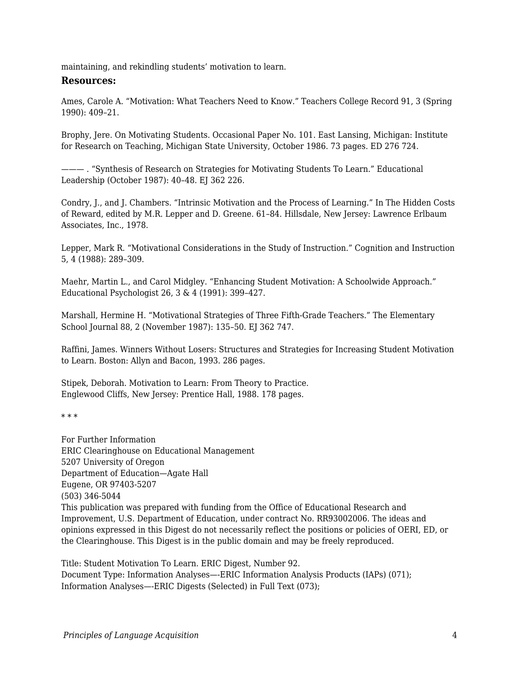maintaining, and rekindling students' motivation to learn.

#### **Resources:**

Ames, Carole A. "Motivation: What Teachers Need to Know." Teachers College Record 91, 3 (Spring 1990): 409–21.

Brophy, Jere. On Motivating Students. Occasional Paper No. 101. East Lansing, Michigan: Institute for Research on Teaching, Michigan State University, October 1986. 73 pages. ED 276 724.

——— . "Synthesis of Research on Strategies for Motivating Students To Learn." Educational Leadership (October 1987): 40-48. EJ 362 226.

Condry, J., and J. Chambers. "Intrinsic Motivation and the Process of Learning." In The Hidden Costs of Reward, edited by M.R. Lepper and D. Greene. 61–84. Hillsdale, New Jersey: Lawrence Erlbaum Associates, Inc., 1978.

Lepper, Mark R. "Motivational Considerations in the Study of Instruction." Cognition and Instruction 5, 4 (1988): 289–309.

Maehr, Martin L., and Carol Midgley. "Enhancing Student Motivation: A Schoolwide Approach." Educational Psychologist 26, 3 & 4 (1991): 399–427.

Marshall, Hermine H. "Motivational Strategies of Three Fifth-Grade Teachers." The Elementary School Journal 88, 2 (November 1987): 135–50. EJ 362 747.

Raffini, James. Winners Without Losers: Structures and Strategies for Increasing Student Motivation to Learn. Boston: Allyn and Bacon, 1993. 286 pages.

Stipek, Deborah. Motivation to Learn: From Theory to Practice. Englewood Cliffs, New Jersey: Prentice Hall, 1988. 178 pages.

\* \* \*

For Further Information ERIC Clearinghouse on Educational Management 5207 University of Oregon Department of Education—Agate Hall Eugene, OR 97403-5207 (503) 346-5044 This publication was prepared with funding from the Office of Educational Research and Improvement, U.S. Department of Education, under contract No. RR93002006. The ideas and opinions expressed in this Digest do not necessarily reflect the positions or policies of OERI, ED, or the Clearinghouse. This Digest is in the public domain and may be freely reproduced.

Title: Student Motivation To Learn. ERIC Digest, Number 92. Document Type: Information Analyses—-ERIC Information Analysis Products (IAPs) (071); Information Analyses—-ERIC Digests (Selected) in Full Text (073);